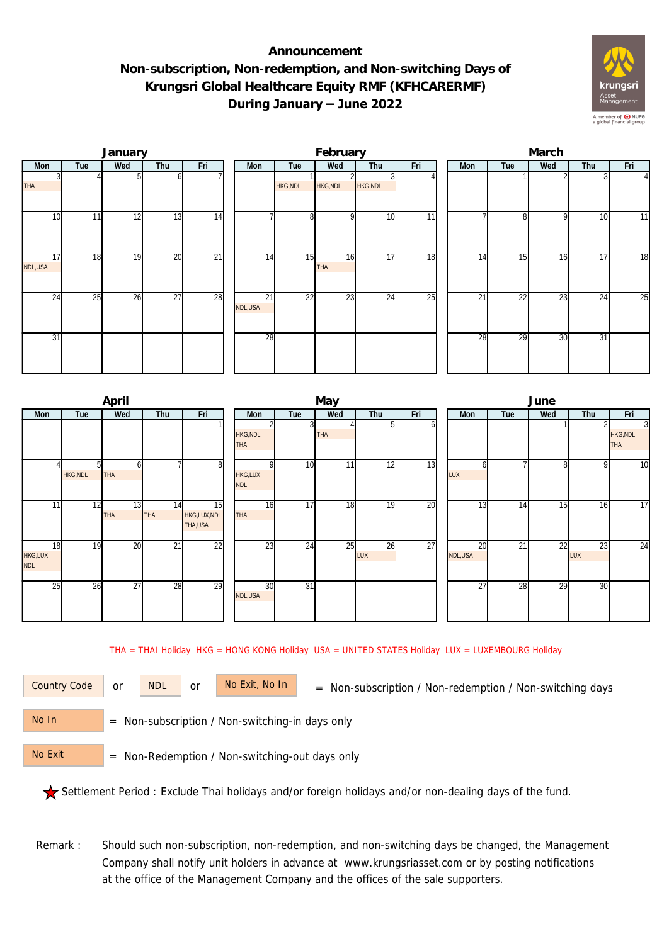## **Announcement Non-subscription, Non-redemption, and Non-switching Days of Krungsri Global Healthcare Equity RMF (KFHCARERMF) During January – June 2022**



|               |                          | January |                 |                 |               |                 | February         |                 |     | March |     |              |                 |                |  |  |
|---------------|--------------------------|---------|-----------------|-----------------|---------------|-----------------|------------------|-----------------|-----|-------|-----|--------------|-----------------|----------------|--|--|
| Mon           | Tue<br>Wed<br>Thu<br>Fri |         | Mon             | Tue             | Wed           | Thu             | Fri              | Mon             | Tue | Wed   | Thu | Fri          |                 |                |  |  |
| <b>THA</b>    |                          |         |                 |                 |               | <b>HKG, NDL</b> | HKG, NDL         | <b>HKG, NDL</b> |     |       |     |              |                 | $\overline{4}$ |  |  |
| 10            | 11                       | 12      | $1\overline{3}$ | 14              |               | 8 <sup>1</sup>  | $\Omega$         | 10              | 11  |       | 8   | $\mathsf{Q}$ | 10              | 11             |  |  |
| 17<br>NDL,USA | 18                       | 19      | 20              | $\overline{21}$ | 14            | 15              | 16<br><b>THA</b> | 17              | 18  | 14    | 15  | 16           | 17              | 18             |  |  |
| 24            | 25                       | 26      | $\overline{27}$ | 28              | 21<br>NDL,USA | 22              | 23               | 24              | 25  | 21    | 22  | 23           | 24              | 25             |  |  |
| 31            |                          |         |                 |                 | 28            |                 |                  |                 |     | 28    | 29  | 30           | $\overline{31}$ |                |  |  |

|                             |                | April            |           |                              |                              |                 | May        |           |     | June          |                 |                 |              |                                                 |  |
|-----------------------------|----------------|------------------|-----------|------------------------------|------------------------------|-----------------|------------|-----------|-----|---------------|-----------------|-----------------|--------------|-------------------------------------------------|--|
| Mon                         | Tue            | Wed              | Thu       | Fri                          | Mon                          | Tue             | Wed        | Thu       | Fri | Mon           | Tue             | Wed             | Thu          | Fri                                             |  |
|                             |                |                  |           |                              | HKG, NDL<br><b>THA</b>       |                 | <b>THA</b> |           | O   |               |                 |                 |              | $\overline{3}$<br><b>HKG, NDL</b><br><b>THA</b> |  |
|                             | <b>HKG,NDL</b> | b<br><b>THA</b>  |           | 8                            | <b>HKG,LUX</b><br><b>NDL</b> | 10              | 11         | 12        | 13  | n<br>LUX      |                 | $\mathsf{R}$    | $\mathsf{Q}$ | $\overline{10}$                                 |  |
| 11                          | 12             | 13<br><b>THA</b> | 14<br>THA | 15<br>HKG,LUX,NDL<br>THA,USA | 16<br><b>THA</b>             | 17              | 18         | 19        | 20  | 13            | 14              | 15 <sub>1</sub> | 16           | $\overline{17}$                                 |  |
| 18<br>HKG,LUX<br><b>NDL</b> | 19             | 20               | 21        | 22                           | $\overline{23}$              | 24              | 25         | 26<br>LUX | 27  | 20<br>NDL,USA | $\overline{21}$ | $\overline{22}$ | 23<br>LUX    | $\overline{24}$                                 |  |
| 25                          | 26             | 27               | 28        | 29                           | 30<br>NDL, USA               | $\overline{31}$ |            |           |     | 27            | 28              | 29              | 30           |                                                 |  |

THA = THAI Holiday HKG = HONG KONG Holiday USA = UNITED STATES Holiday LUX = LUXEMBOURG Holiday

or NDL or

Country Code or NDL or No Exit, No In = Non-subscription / Non-redemption / Non-switching days

 = Non-subscription / Non-switching-in days only No In

 = Non-Redemption / Non-switching-out days only No Exit

Settlement Period : Exclude Thai holidays and/or foreign holidays and/or non-dealing days of the fund.

Remark : Should such non-subscription, non-redemption, and non-switching days be changed, the Management Company shall notify unit holders in advance at www.krungsriasset.com or by posting notifications at the office of the Management Company and the offices of the sale supporters.